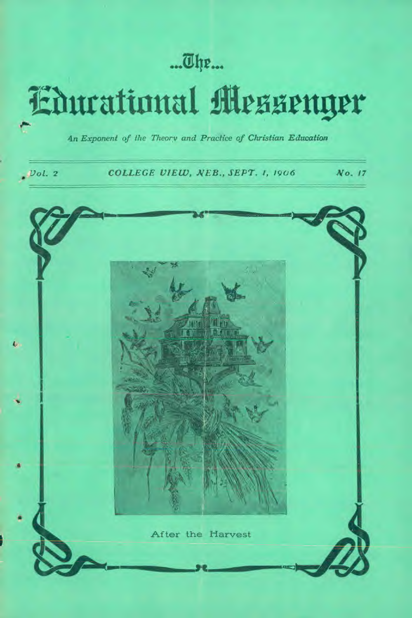## ...The...

# **Educational Messenger**

4n *Exponent of the Theory and Practice of Christian Education* 

*Vol.* **2** *COLLEGE VIEW, NEB., SEPT. 1, 1906 No. 17* 

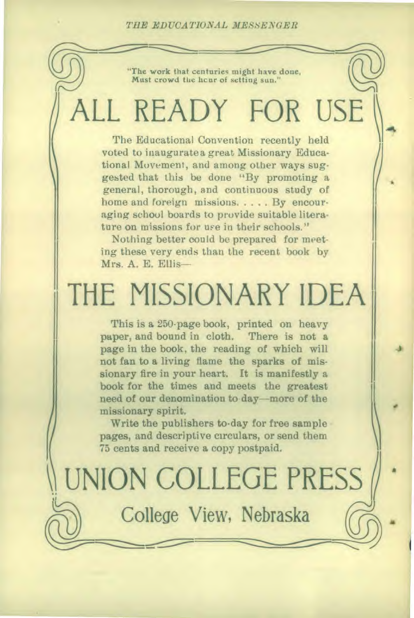*TILE EDUCATIONAL MESSENGER* 

"The work that centuries might have done, Must crowd the hcur of setting sun."

## ALL READY FOR USE

The Educational Convention recently held voted to inaugurate a great Missionary Educational Movement, and among other ways suggested that this be done "By promoting a general, thorough, and continuous study of home and foreign missions. . . . . By encouraging school boards to provide suitable literature on missions for use in their schools."

Nothing better could be prepared for meeting these very ends than the recent book by Mrs. A. E. Ellis—

## THE MISSIONARY IDEA

This is a 250-page book, printed on heavy paper, and bound in cloth. There is not a page in the book, the reading of which will not fan to a living flame the sparks of missionary fire in your heart. It is manifestly a book for the times and meets the greatest need of our denomination to day—more of the missionary spirit.

Write the publishers to-day for free sample pages, and descriptive circulars, or send them 75 cents and receive a copy postpaid.

 $\sqrt{2}$ 

UNION COLLEGE PRESS College View, Nebraska

•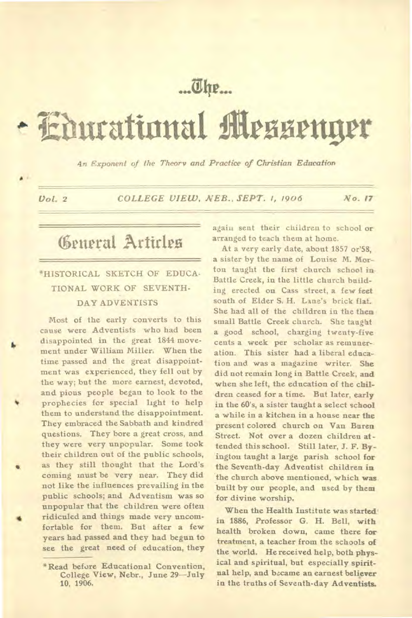## ... The...

# **liburational rwirttgrr**

*An Exponent of the Theory and Practice of Christian Education* 

•

*Vol. 2 COLLEGE VIEW, NEB., SEPT. 1, 1906 No. 17* 

## General Articles

#### \*HISTORICAL SKETCH OF EDUCA-TIONAL WORK OF SEVENTH-DAY ADVENTISTS

Most of the early converts to this cause were Adventists who had been disappointed in the great 1844 movement under William Miller. When the time passed and the great disappointment was experienced, they fell out by the way; but the more earnest, devoted, and pious people began to look to the • prophecies for special light to help them to understand the disappointment. They embraced the Sabbath and kindred questions. They bore a great cross, and they were very unpopular. Some took their children out of the public schools, as they still thought that the Lord's coming must be very near. They did not like the influences prevailing in the public schools; and Adventism was so unpopular that the children were often ridiculed and things made very uncomfortable for them. But after a few years had passed and they had begun to see the great need of education, they again sent their children to school or arranged to teach them at home.

At a very early date, about 1857 or'58, a sister by the name of Louise M. Morton taught the first church school in Battle Creek, in the little church building erected on Cass street, a few feet south of Elder S. H. Lane's brick flat. She had all of the children in the *then*  small Battle Creek church. She taught a good school, charging twenty-five cents a week per scholar as remuneration. This sister had a liberal education and was a magazine writer. She did not remain long in Battle Creek, and when she left, the education of the children ceased for a time. But later, early in the 60's, a sister taught a select school a while in a kitchen in a house near the present colored church on Van Buren Street. Not over a dozen children attended this school. Still later, J. F. Byingtou taught a large parish school for the Seventh-day Adventist children in the church above mentioned, which **was**  built by our people, and used by them for divine worship.

When the Health Institute was started' in 1886, Professor G. H. Bell, with health broken down, came there **for**  treatment, a teacher from the schools **of**  the world. He received help, both physical and spiritual, but especially spiritual help, and became an earnest believer in the truths of Seventh-day Adventists.

<sup>\*</sup>Read before Educational Convention, College View, Nebr., June 29—July 10, 1906.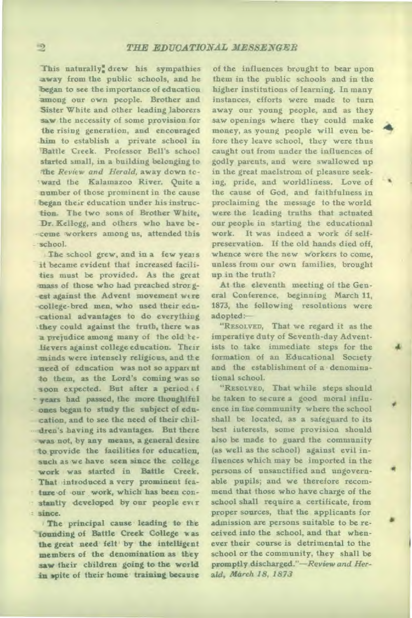This naturally: drew his sympathies away from the public schools, and he began to see the importance of education among our own people. Brother and Sister White and other leading laborers saw the necessity of some provision for the rising generation, and encouraged him to establish a private school in Battle Creek. Professor Bell's school started small, in a building belonging to The *Review and Herald,* away down tcward the Kalamazoo River. Quite a number of those prominent in the cause began their education under his instruction. The two sons of Brother White, Dr. Kellogg, and others who have be- -come workers among us, attended this school.

The school grew, and in a few years **it** became evident that increased facilities must be provided. As the great mass of those who had preached stror gest against the Advent movement were college-bred men, who used their educational advantages to do everything they could against the truth, there was a prejudice among many of the old telievers against college education. Their ...minds were intensely religious, and the need of education was not so appare nt **to** them, as the Lord's coming was so soon expected. But after a period of years had passed, the more thoughtful ones began to study the subject of education, and to see the need of their children's having its advantages. But there was not, by any means, a general desire to provide the facilities for education, such as we have seen since the college work was started in Battle Creek. That introduced a very prominent feature of our work, which has been constantly developed by our people ever since.

The principal cause leading to the founding of Battle Creek College was the great need felt by the intelligent members of the denomination as they saw their children going to the world **in** spite of their home training because

of the influences brought to bear upon them in the public schools and in the higher institutions of learning. In many instances, efforts were made to turn away our young people, and as they saw openings where they could make money, as young people will even before they leave school, they were thus caught out from under the influences of godly parents, and were swallowed up in the great maelstrom of pleasure seeking, pride, and worldliness. Love of the cause of God, and faithfulness in proclaiming the message to the world were the leading truths that actuated our people in starting the educational work. It was indeed a work of selfpreservation. If the old hands died off, whence were the new workers to come, unless from our own families, brought up in the truth?

At the eleventh meeting of the General Conference, beginning March 11, 1873, the following resolutions were adopted:-

"RESOLVED, That we regard it as the imperative duty of Seventh-day Adventists to take immediate steps for the formation of an Educational Society and the establishment of a denominational school.

"RESOLVED, That while steps should be taken to secure a good moral influence in the community where the school shall be located, as a safeguard to its best interests, some provision should also be made to guard the community (as well as the school) against evil influences which may be imported in the persons of unsanctified and ungovernable pupils; and we therefore recommend that those who have charge of the school shall require a certificate, from proper sources, that the applicants for admission are persons suitable to be received into the school, and that whenever their course is detrimental to the school or the community, they shall be promptly discharged."—Review *and Herald, March 18, 1873*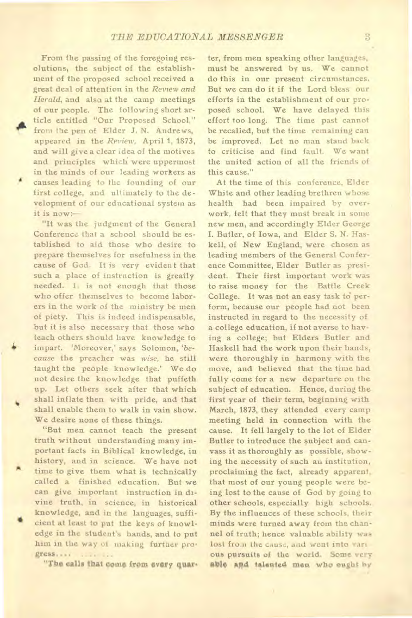From the passing of the foregoing resolutions, the subject of the establishment of the proposed school received a great deal of attention in the *Review and Herald,* and also at the camp meetings of our people. The following short article entitled "Our Proposed School," from the pen of Elder J. N. Andrews, appeared in the *Review,* April **1,** 1873, and will give a clear idea of the motives and principles which were uppermost in the minds of our leading workers as causes leading to the founding of our first college, and ultimately to the development of our educational system as it is now:

"It was the judgment of the General Conference that a school should be established to aid those who desire to prepare themselves for usefulness in the cause of God. It is very evident that such a place of instruction is greatly needed. I. is not enough that those who offer themselves to become laborers in the work of the ministry be men of piety. This is indeed indispensable, but it is also necessary that those who teach others should have knowledge to impart. 'Moreover,' says Solomon, *'because* the preacher was *wise,* he still taught the people knowledge.' We do not desire the knowledge that puffeth up. Let others seek after that which shall inflate then with pride, and that shall enable them to walk in vain show. We desire none of these things.

"But men cannot teach the present truth without understanding many important facts in Biblical knowledge, in history, and in science. We have not time to give them what is technically called a finished education. But we can give important instruction in divine truth, in science, in historical knowledge, and in the languages, sufficient at least to put the keys of knowledge in the student's hands, and to put him in the way of making further progress.... .... ...

"The calls that come from every quar-

ter, from men speaking other languages, must be answered by us. We cannot do this in our present circumstances. But we can do it if the Lord bless our efforts in the establishment of our proposed school. We have delayed this effort too long. The time past cannot be recalled, but the time remaining can be improved. Let no man stand back to criticise and find fault. We want the united action of all the friends of this cause."

At the time of this conference, Elder White and other leading brethren whose health had been impaired by overwork, felt that they must break in some new men, and accordingly Elder George I. Butler, of Iowa, and Elder S. N. Haskell, of New England, were chosen as leading members of the General Conference Committee, Elder Butler as president. Their first important work was to raise money for the Battle Creek College. It was not an easy task to perform, because our people had not been instructed in regard to the necessity of a college education, if not averse to having a college; but Elders Butler and Haskell had the work upon their hands, were thoroughly in harmony with the move, and believed that the time had fully come for a new departure on the subject of education. Hence, during the first year of their term, beginning with March, 1873, they attended every camp meeting held in connection with the cause. It fell largely to the lot of Elder Butler to introduce the subject and canvass it as thoroughly as possible, showing the necessity of such au institution, proclaiming the fact, already apparent, that most of our young people were being lost to the cause of God by going to other schools, especially high schools. By the influences of these schools, their minds were turned away from the channel of truth; hence valuable ability was lost from the cause, and went into various pursuits of the world. Some very **able astd talented men who ought** by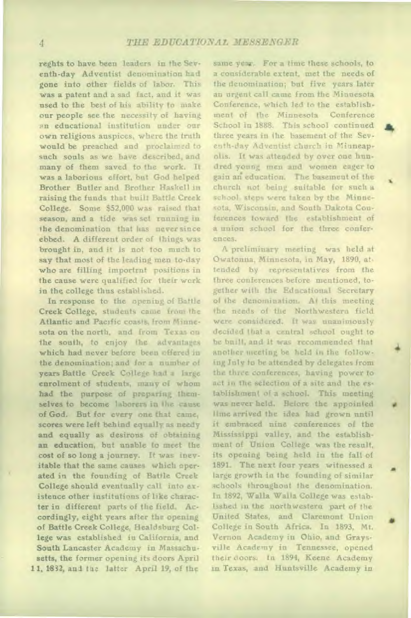reghts to have been leaders in the Seventh-day Adventist denomination had gone into other fields of labor. This was a patent and a sad fact, and it was used to the best of his ability to make our people see the necessity of having an educational institution under our own religious auspices, where the truth would be preached and proclaimed to such souls as we have described, and many of them saved to the work. It was a laborious effort, but God helped Brother Butler and Brother Haskell in raising the funds that built Battle Creek College. Some \$52,000 was raised that season, and a tide was set running in the denomination that has never since ebbed. A different order of things was brought in, and it is not too much to say that most of the leading men to-day who are filling importrnt positions in the cause were qualified for their work in the college thus established.

In response to the opening of Battle Creek College, students came from the Atlantic and Pacific coasts, from Minnesota on the north, and from Texas on the south, to enjoy the advantages which had never before been offered in the denomination; and for a number of years Battle Creek College had a large enrolment of students, many of whom had the purpose of preparing themselves to become laborers in the cause of God. But for every one that came, scores were left behind equally as needy and equally as desirous of obtaining an education, but unable to meet the cost of so long a journey. It was inevitable that the same causes which operated in the founding of Battle Creek College should eventually call into existence other institutions of like character in different parts of the field. Accordingly, eight years after the opening of Battle Creek College, Healdsburg College was established iu California, and South Lancaster Academy in Massachusetts, the former opening its doors April 11, 1832, and the latter April 19, of the

same year. For a time these schools, to a considerable extent, met the needs of the denomination; but five years later an urgent call came from the Minnesota Conference, which led to the establishment of the Minnesota Conference School in 1888. This school continued three years in the basement of the Seventh-day Adventist church in Minneapolis. It was attended by over one hundred young men and women eager to gain an education. The basement of the church not being suitable for such a school, steps were taken by the Minnesota, Wisconsin, and South Dakota Conferences toward the establishment of a union school for the three conferences.

A preliminary meeting was held at Owatonna, Minnesota, in May, 1890, attended by representatives from the three conferences before mentioned, together with the Educational Secretary of the denomination. At this meeting the needs of the Northwestern field were considered. It was unanimously decided that a central school ought to be built, and it was recommended that another meeting be held in the following July to be attended by delegates from the three conferences, having power to act in the selection of a site and the establishment of a school. This meeting was never held. Before the appointed time arrived the idea had grown until it embraced nine conferences of the Mississippi valley, and the establishment of Union College was the result, its opening being held in the fall of 1891. The next four years witnessed a large growth in the founding of similar schools throughout the denomination. In 1892, Walla Walla College was establsshed in the northwestern part of the United States, and Claremont Union • College in South Africa. In 1893, Mt. Vernon Academy in Ohio, and Graysville Academy in Tennessee, opened their doors. to 1894, Keene Academy in Texas, and Huntsville Academy in

rn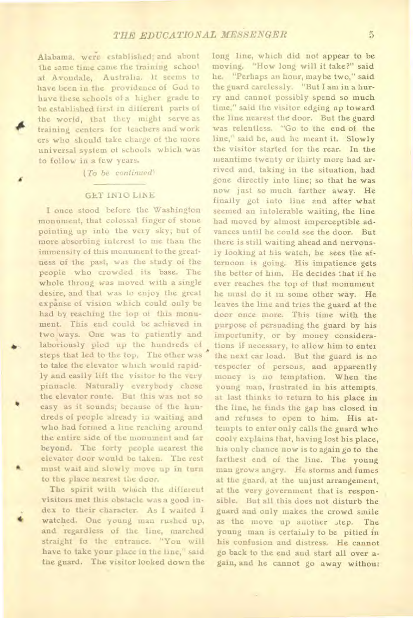Alabama, were established; and about the same time came the training school at Avondale, Australia. It seems to have been in the providence of God to have these schools of a higher grade to be established first in different parts of the world, that they might serve as training centers for teachers and work ers who should take charge of the more universal system of schools which was to follow in a few years.

*(To be continued)* 

#### GET INTO LINE

I once stood before the Washington monument, that colossal finger of stone pointing up into the very sky; but of more absorbing interest to me than the immensity of this monument to the greatness of the past, was the study of the people who crowded its base. The whole throng was moved with a single desire, and that was to enjoy the great expanse of vision which could only be had by reaching the top of this monument. This end could be achieved in two ways. One was to patiently and laboriously plod up the hundreds of steps that led to the top. The other was to take the elevator which would rapidly and easily lift the visitor to the very pinnacle. Naturally everybody chose the elevator route. But this was not so easy as it sounds; because of the hundreds of people already in waiting and who had formed a line reaching around the entire side of the monument and far beyond. The forty people nearest the elevator door would be taken. The rest must wait and slowly move up in turn to the place nearest the door.

The spirit with which the different visitors met this obstacle was a good index to their character. As I waited I • watched. One young man rushed up, and regardless of the line, marched straight fo the entrance. "You will have to take your place in the line," said the guard. The visitor looked down the long line, which did not appear to be moving. "How long will it take?" said he. "Perhaps an hour, maybe two," said the guard carelessly. "But I am in a hurry and cannot possibly spend so much time," said the visitor edging up toward the line nearest the door. But the guard was relentless. "Go to the end of the line," said he, and he meant it. Slowly the visitor started for the rear. In the meantime twenty or thirty more had arrived and, taking in the situation, had gone directly into line; so that he was now just so much farther away. He finally got into line and after what seemed an intolerable waiting, the line had moved by almost imperceptible advances until he could see the door. But there is still waiting ahead and nervously looking at his watch, he sees the afternoon is going. His impatience gets the better of him. He decides that if he ever reaches the top of that monument he must do it in some other way. He leaves the line and tries the guard at the door once more. This time with the purpose of persuading the guard by his importunity, or by money considerations if necessary, to allow him to enter the next car load. But the guard is no respecter of persons, and apparently money is no temptation. When the young man, frustrated in his attempts at last thinks to return to his place in the line, he finds the gap has closed in and refuses to open to him. His attempts to enter only calls the guard who cooly explains that, having lost his place, his only chance now is to again go to the farthest end of the line. The young man grows angry. He storms and fumes at the guard, at the unjust arrangement, at the very government that is responsible. But all this does not disturb the guard and only makes the crowd smile as the move up another step. The young man is certainly to be pitied in his confusion and distress. He cannot go back to the end and start all over again, and he cannot go away without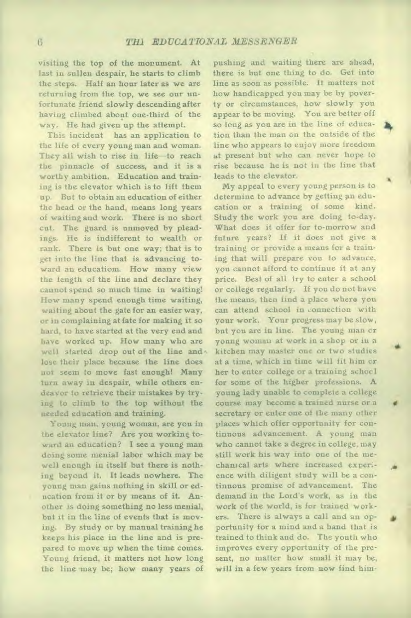visiting the top of the monument. At last in sullen despair, he starts to climb the steps. Half an hour later as we are returning from the top, we see our unfortunate friend slowly descending after having climbed about one-third of the way. He had given up the attempt.

This incident has an application to the life of every young man and woman. They all wish to rise in life—to reach the pinnacle of success, and it is a worthy ambition. Education and training is the elevator which is to lift them up. But to obtain an education of either the head or the hand, means long years of waiting and work. There is no short cut. The guard is unmoved by pleadings. He is indifferent to wealth or rank. There is but one way; that is to get into the line that is advancing toward an educatiom. How many view the length of the line and declare they cannot spend so much time in waiting! How many spend enough time waiting, waiting about the gate for an easier way, or iu complaining at fate for making it so hard, to have started at the very end and have worked up. How many who are well started drop out of the line and. lose their place because the line does not seem to move fast enough! Many turn away in despair, while others endeavor to retrieve their mistakes by trying to climb to the top without the needed education and training.

Young man, young woman, are you in the elevator line? Are you working toward an education? I see a young man doing some menial labor which may be well enough in itself but there is nothing beyond it. It leads nowhere. The young man gains nothing in skill or education from it or by means of it. Another is doing something no less menial, but it in the line of events that is moving. By study or by manual training he keeps his place in the line and is prepared to move up when the time comes. Young friend, it matters not how long the line may be; how many years of

pushing and waiting there are ahead, there is but one thing to do. Get into line as soon as possible. It matters not how handicapped you may be by poverty or circumstances, how slowly you appear to be moving. You are better off so long as you are in the line of education than the man on the outside of the line who appears to enjoy more freedom at present but who can never hope to rise because he is not iu the line that leads to the elevator.

My appeal to every young person is to determine to advance by getting an education or a training of some kind. Study the work you are doing to-day. What does it offer for to-morrow and future years? If it does not give a training or provide a means for a training that will prepare you to advance, you cannot afford to continue it at any price. Best of all try to enter a school or college regularly. If you do not have the means, then find a place where you can attend school in connection with your work. Your progress may be slow, but you are in line. The young man or young woman at work in a shop or in a kitchen may master one or two studies at a time, which in time will fit him or her to enter college or a training schocl for some of the higher professions. A young lady unable to complete a college course may become a trained nurse or a secretary or enter one of the many other places which offer opportunity for continuous advancement. A young man who cannot take a degree in college, may still work his way into one of the mechanical arts where increased experience with diligent study will be a continuous promise of advancement. The demand in the Lord's work, as in the work of the world, is for trained workers. There is always a call and an opportunity for a mind and a hand that is trained to think and do. The youth who improves every opportunity of the present, no matter how small it may be, will in a few years from now find him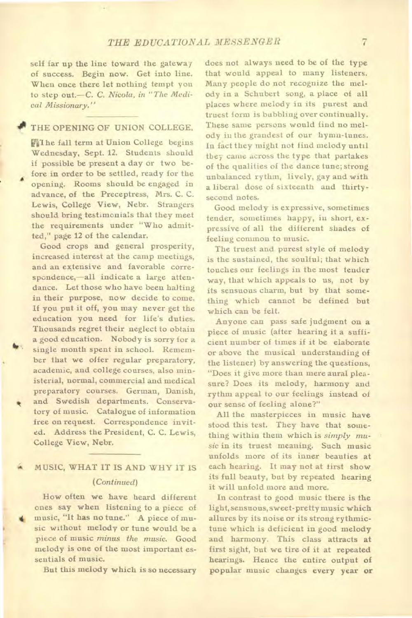self far up the line toward the gateway of success. Begin now. Get into line. When once there let nothing tempt you to step out.—C. C. *Nicola, in "The Medical Missionary."* 

#### THE OPENING OF UNION COLLEGE.

**H**The fall term at Union College begins Wednesday, Sept. 12. Students should if possible be present a day or two before in order to be settled, ready for the opening. Rooms should be engaged in advance, of the Preceptress, Mrs. C. C. Lewis, College View, Nebr. Strangers should bring testimonials that they meet the requirements under "Who admitted," page 12 of the calendar.

Good crops and general prosperity, increased interest at the camp meetings, and an extensive and favorable correspondence,—all indicate a large attendance. Let those who have been halting in their purpose, now decide to come. If you put it off, you may never get the education you need for life's duties. Thousands regret their neglect to obtain a good education. Nobody is sorry for a single month spent in school. Remember that we offer regular preparatory, academic, and college courses, also ministerial, normal, commercial and medical preparatory courses. German, Danish, and Swedish departments. Conservatory of music. Catalogue of information free on request. Correspondence invited. Address the President, C. C. Lewis, College View, Nebr.

#### MUSIC, WHAT IT IS AND WHY IT IS *(Continued)*

How often we have heard different ones say when listening to a piece of music, "It has no tune." A piece of music without melody or tune would be a piece of music *minus the music.* Good melody is one of the most important essentials of music.

But this melody which is so necessary

does not always need to be of the type that would appeal to many listeners. Many people do not recognize the melody in a Schubert song, a place of all Places where melody in its purest and truest form is bubbling over continually. These same persons would find no melody in the grandest of our hymn-tunes. In fact they might not find melody until they came across the type that partakes of the qualities of the dance tune; strong unbalanced rythm, lively, gay and with a liberal dose of sixteenth and thirtysecond notes.

Good melody is expressive, sometimes tender, sometimes happy, in short, expressive of all the different shades of feeling common to music.

The truest and purest style of melody is the sustained, the soulful; that which touches our feelings in the most tender way, that which appeals to us, not by its sensuous charm, but by that something which cannot be defined but which can be felt.

Anyone can pass safe judgment on a piece of music (after hearing it a sufficient number of times if it be elaborate or above the musical understanding of the listener) by answering the questions, "Does it give more than mere aural pleasure? Does its melody, harmony and rythm appeal to our feelings instead of our sense of feeling alone?"

All the masterpieces in music have stood this test. They have that something within them which is *simply music* in its truest meaning. Such music unfolds more of its inner beauties at each hearing. It may not at first show its full beauty, but by repeated hearing it will unfold more and more.

In contrast to good music there is the light, sensuous, sweet-pretty music which allures by its noise or its strong rythmictune which is deficient in good melody and harmony. This class attracts at first sight, but we tire of it at repeated hearings. Hence the entire output of popular music changes every year or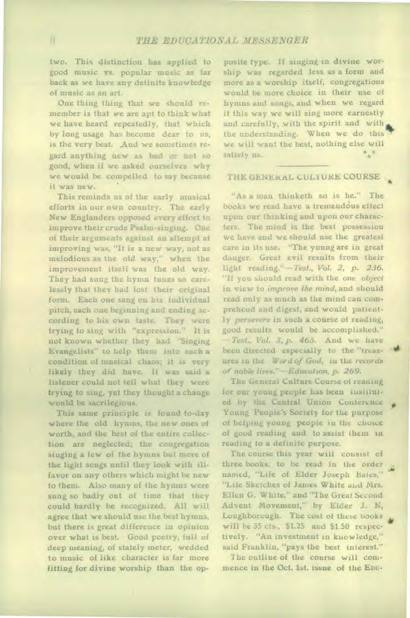two. This distinction has applied to good music vs. popular music as far back as we have any definite knowledge of music as an art.

One thing thing that we should remember is that we are apt to think what we have heard repeatedly, that which by long usage has become dear to us, is the very best. And we sometimes regard anything new as bad or not so good, when if we asked ourselves why we would be compelled to say because it was new.

This reminds us of the early musical efforts in our own country. The early New Englanders opposed every effort to improve their crude Psalm-singing. One of their arguments against an attempt at improving was, "It is a new way, not as melodious as the old way," when the improvement itself was the old way. They had sung the hymn tunes so carelessly that they had lost their original form. Each one sang on his individual pitch, each one beginning and ending according to his own taste. They were trying to sing with "expression." It is not known whether they had "Singing Evangelists" to help them into such a condition of musical chaos; it is very likely they did have. It was said a listener could not tell what they were trying to sing, yet they thought a change would be sacrilegious.

This same principle is found to-day where the old hymns, the new ones of worth, and the best of the entire collection are neglected; the congregation singing a few of the hymns but more of the light songs until they look with illfavor on any others which might be new to them. Also many of the hymns were sung so badly out of time that they could hardly be recognized. All will agree that we should use the best hymns, but there is great difference in opinion over what is best. Good poetry, full of deep meaning, of stately meter, wedded to music of like character is far more fitting for divine worship than the op-

posite type. If singing in divine worship was regarded less as a form and more as a worship itself, congregations would be more choice in their use of hymns and songs, and when we regard it this way we will sing more earnestly and carefully, with the spirit and with the understanding. When we do this we will want the best, nothing else will satisfy us.

#### THE GENERAL CULTURE COURSE

"As a man thinketh so is he." The books we read have a tremendous effect upon our thinking and upon our characters. The mind is the best possession we have and we should use the greatest care in its use. "The young are in great danger. Great evil results from their light reading."—Test., *Vol. 2, p. 236.*  "If you should read with the *one object in* view to *improve the mind,* and should read only as much as the mind can comprehend and digest, and would patiently *persevere* in such a course of reading, good results would be accomplished." *—Test., Vol. 3, p. 465.* And we have been directed especially to the "treasures in the *Word of God,* in the *records of noble lives."—Education, p.* 269.

The General Culture Course of reading for our young people has been instituted by the Central Union Conference Young People's Society for the purpose of helping young people in the choice of good reading and to assist them in reading to a definite purpose.

The course this year will consist of three books, to be read in the order named, "Life of Elder Joseph Bates," "Life Sketches of James White and Mrs. Ellen G. White," and "The Great Second Advent Movement," by Elder J. N, Loughborough. The cost of these books will be 35 cts., \$1.25 and \$1.50 respectively. "An investment in knowledge," said Franklin, "pays the best interest."

The outline of the course will commence in the Oct. 1st. issue of the EDU-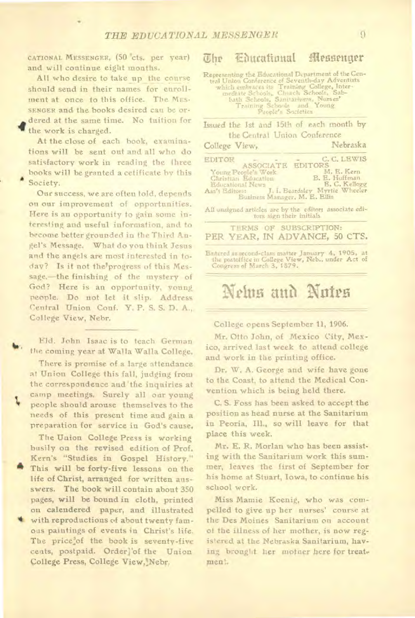CATIONAL MESSENGER, (50 cts. per year) and will continue eight months.

All who desire to take up the course should send in their names for enrollment at once to this office. The MES-SENGER and the books desired can be ordered at the same time. No tuition for the work is charged.

At the close of each book, examinations will be sent out and all who do satisfactory work in reading the three books will be granted a cetificate by this Society.

Our success, we are often told, depends on our improvement of opportunities. Here is an opportunity to gain some interesting and useful information, and to become better grounded in the Third Angel's Message. What do you think Jesus and the angels are most interested in today? Is it not the progress of this Message,—the finishing of the mystery of God? Here is an opportunity, young people. Do not let it slip. Address Central Union Conf. Y. P. S. S. D. A., College View, Nehr.

Eld. John Isaac is to teach German the coming year at Walla Walla College.

There is promise of a large attendance at Union College this fall, judging from the correspondence and 'the inquiries at camp meetings. Surely all our young<br>people should arouse themselves to the needs of this present time and gain a preparation for service in God's cause.

The Union College Press is working busily on the revised edition of Prof. Kern's "Studies in Gospel History." This will be forty-five lessons on the life of Christ, arranged for written ansswers. The book will contain about 350 pages, will be bound in cloth, printed on calendered paper, and illustrated with reproductions of about twenty famous paintings of events in Christ's life. The price'of the book is seventy-five cents, postpaid. Orderl'of the Union College Press, College View, Nebr.

#### Otr ettratiottat Messenger

Representing the Educational Department of the Central Union Conference of Seventheday Adventists<br>which embraces its Training College, Inter-<br>modific Schools, Chuch Schools, Sab-<br>bath Schools, Samtariums, Nurses<br>Training S

Issued the 1st and 15th of each month by the Central Union Conference

| College View,                                                                                                                                                                                                                      | Nebraska                                                                      |
|------------------------------------------------------------------------------------------------------------------------------------------------------------------------------------------------------------------------------------|-------------------------------------------------------------------------------|
| EDITOR<br>ASSOCIATE<br>Young People's Work<br>Christian Education<br>Educational News<br>Ass't Editors: J. L. Beardsley Myrtie Wheeler<br>Business Manager, M. E. Ellis<br>All unsigned articles are by the editors associate edi- | C. C. LEWIS<br><b>EDITORS</b><br>M. E. Kern<br>B. E. Huffman<br>E. C. Kellogg |
| tors sign their initials.                                                                                                                                                                                                          |                                                                               |
| TERMS OF SUBSCRIPTION:<br>PER YEAR, IN ADVANCE, 50 CTS.                                                                                                                                                                            |                                                                               |
| Entired as recond-class matter January 4, 1905, at<br>the postoffice in College View, Neb., under Act of<br>Congress of March 3, 1879.                                                                                             |                                                                               |

### Nelus and Nutes

College opens September 11, 1906.

Mr. Otto John, of Mexico City, Mexico, arrived last week to attend college and work in the printing office.

Dr. W. A. George and wife have gone to the Coast, to attend the Medical Convention which is being held there.

C. S. Foss has been asked to accept the position as head nurse at the Sanitarium in Peoria, Ill., so will leave for that place this week.

Mr. E. R. Morlan who has been assisting with the Sanitarium work this summer, leaves the first of September for his home at Stuart, Iowa, to continue his school work.

Miss Mamie Koenig, who was compelled to give up her nurses' course at the Des Moines Sanitarium on account of the illness of her mother, is now registered at the Nebraska Sanitarium, having brought her mother here for treatment.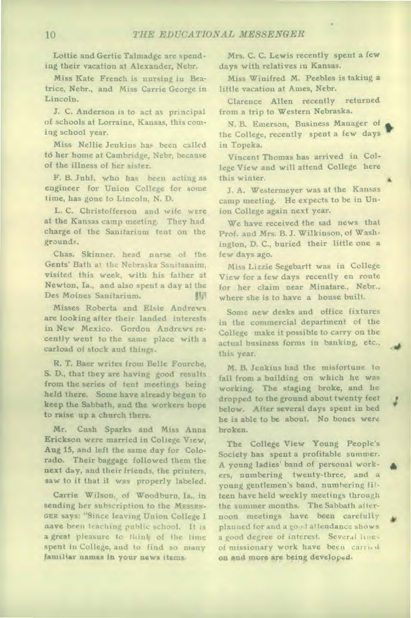Lottie and Gertie Talmadge are spending their vacation at Alexander, Nebr.

Miss Kate French is nursing in Beatrice, Nebr., and Miss Carrie George in Lincoln.

J. C. Anderson is to act as principal of schools at Lorraine, Kansas, this coming school year.

Miss Nellie Jenkins has been called to her home at Cambridge, Nebr, because of the illness of her sister.

F. B. Juhl, who has been acting as engineer for Union College for some time, has gone to Lincoln, N. D.

L. C. Christofferson and wife were at the Kansas camp meeting. They had charge of the Sanitarium tent on the grounds.

Chas. Skinner, head nurse of the Gents' Bath at the Nebraska Sanitaauim, visited this week, with his father at Newton, Ia., and also spent a day at the Des Moines Sanitarium.

Misses Roberta and Elsie Andrews are looking after their landed interests in New Mexico. Gordon Andrews recently went to the same place with a carload of stock and things.

R. T. Baer writes from Belle Fourche, S. D., that they are having good results from the series of tent meetings being held there. Some have already begun to keep the Sabbath, and the workers hope to raise up a church there.

Mr. Cush Sparks and Miss Anna Erickson were married in College View, Aug 15, and left the same day for Colorado. Their baggage followed them the next day, and their friends, the printers, saw to it that it was properly labeled.

Carrie Wilson, of Woodburn, Ia., in sending her subscription to the MESSEN-GER says: "Since leaving Union College I nave been teaching public school. It is a great pleasure to think of the time spent in College, and to find so many familiar **names in your news items,** 

Mrs. C. C. Lewis recently spent a few days with relatives in Kansas.

Miss Winifred M. Peebles is taking a little vacation at Ames, Nebr.

Clarence Allen recently returned from a trip to Western Nebraska.

N. B. Emerson, Business Manager of the College, recently spent a few days in Topeka.

Vincent Thomas has arrived in College View and will attend College here this winter.

J. A. Westermeyer was at the Kansas camp meeting. He expects to be in Union College again next year.

We have received the sad news that Prof. and Mrs. B. J. Wilkinson, of Washington, D. C., buried their little one a few days ago.

Miss Lizzie Segebartt was in College View for a few days recently en route for her claim near Minatare., Nebr., where she is to have a house built.

Some new desks and office fixtures in the commercial department of the College make it possible to carry on the actual business forms in banking, etc., this year.

M. B. Jenkins had the misfortune to fall from a building on which he was working. The staging broke, and he dropped to the ground about twenty feet below. After several days spent in bed he is able to be about. No bones were broken.

The College View Young People's Society has spent a profitable summer. A young ladies' band of personal workers, numbering twenty-three, and a young gentlemen's band, numbering filteen have held weekly meetings through the summer months. The Sabbath afternoon meetings have been carefully planned for and a good attendance shows a good degree of interest. Several line, of missionary work have been carried **on and more are being developed.**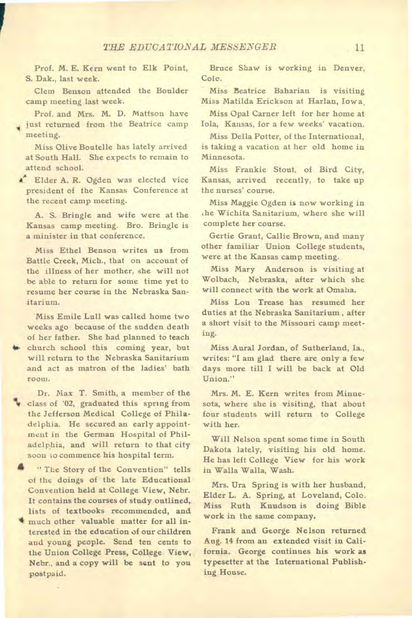Prof. **M.** E. Kern went to Elk Point, **S.** Dak., last week.

Clem Benson attended the Boulder camp meeting last week.

Prof. and Mrs. M. D. Mattson have just returned from the Beatrice camp meeting.

Miss Olive Boutelle has lately arrived at South Hall. She expects to remain to attend school.

<sup>1</sup> Elder A. R. Ogden was elected vice president of the Kansas Conference at the recent camp meeting.

A. S. Bringle and wife were at the Kansas camp meeting. Bro. Bringle is a minister in that conference.

Miss Ethel Benson writes us from Battle Creek, Mich., that on account of the illness of her mother, she will not be able to return for some time yet to resume her course in the Nebraska Sanitarium.

Miss Emile Lull was called home two weeks ago because of the sudden death of her father. She had planned to teach church school this coming year, but will return to the Nebraska Sanitarium and act as matron of the ladies' bath room.

**Dr.** Max T. Smith, a member of the **ti** class of '02, graduated this spring from the Jefferson Medical College of Philadelphia. He secured an early appointment in the German Hospital of Philadelphia, and will return to that city soon to commence his hospital term.

" The Story of the Convention" tells of the doings of the late Educational Convention held at College View, Nebr. It contains the courses of study outlined, lists of textbooks recommended, and **4** much other valuable matter for all interested in the education of our children and young people. Send ten cents to the Union College Press, College View, Nebr., and a copy will be sent to you postpaid.

Bruce Shaw is working in Denver, Cole.

Miss Beatrice Baharian is visiting Miss Matilda Erickson at Harlan, Iowa,

Miss Opal Carner left for her home at Iola, Kansas, for a few weeks' vacation.

Miss Della Potter, of the International, is taking a vacation at her old home in Minnesota.

Miss Frankie Stout, of Bird City, Kansas, arrived recently, to take up the nurses' course.

Miss Maggie Ogden is now working in ,he Wichita Sanitarium, where she will complete her course.

Gertie Grant, Callie Brown, and many other familiar Union College students, were at the Kansas camp meeting.

Miss Mary Anderson is visiting at Wolbach, Nebraska, after which she will connect with the work at Omaha.

Miss Lou Trease has resumed her duties at the Nebraska Sanitarium , after a short visit to the Missouri camp meeting.

Miss Aural Jordan, of Sutherland, Ia., writes: "I am glad there are only a few days more till I will be back at Old Union."

Mrs. M. E. Kern writes from Minnesota, where she is visiting, that about four students will return to College with her.

Will Nelson spent some time in South Dakota lately, visiting his old home. He has left College View for his work in Walla Walla, Wash.

Mrs. Ura Spring is with her husband, Elder L. A. Spring, at Loveland, Colo. Miss Ruth Knudson is doing Bible work in the same company.

Frank and George Nelson returned Aug. 14 from an extended visit in California. George continues his work **as**  typesetter at the International Publishing House.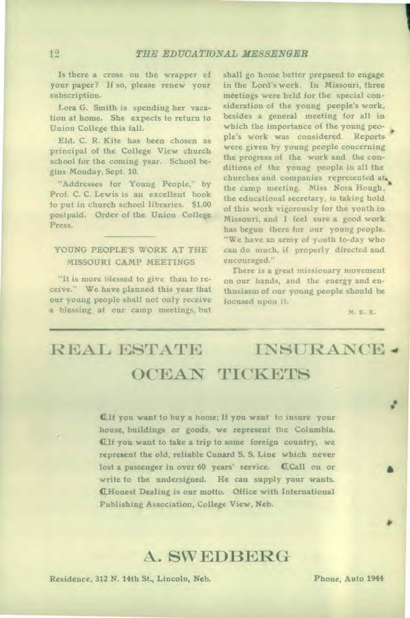Is there a cross on the wrapper of your paper? If so, please renew your subscription.

Lora G. Smith is spending her vacation at home. She expects to return to Union College this fall.

Eld. C. R. Kite has been chosen as principal of the College View church school for the coming year. School begins Monday, Sept. 10.

"Addresses for Young People," by Prof. C. C. Lewis is an excellent book to put in church school libraries. \$1.00 postpaid. Order of the Union College Press.

#### YOUNG PEOPLE'S WORK AT THE MISSOURI CAMP MEETINGS

"It is more blessed to give than to receive." We have planned this year that our young people shall not only receive a blessing at our camp meetings, but

shall go home better prepared to engage in the Lord's work. In Missouri, three meetings were held for the special consideration of the young people's work, besides a general meeting for all in which the importance of the young people's work was considered. Reports were given by young people concerning the progress of the work and the conditions of the young people in all the churches and companies represented *ati,*  the camp meeting. Miss Nora Hough, the educational secretary, is taking hold of this work vigorously for the youth in Missouri, and I feel sure a good work has begun there for our young people. "We have an army of youth to-day who can do much, if properly directed and encouraged."

There is a great missionary movement on our hands, and the energy and enthusiasm of our young people should be focused upon it.

M. E. K.

## REAL ESTATE INSURANCE 4 OCEAN TICKETS

ell you want to buy a home; If you want to insure your house, buildings or goods, we represent the Columbia. CH you want to take a trip to some foreign country, we represent the old, reliable Cunard S. S. Line which never lost a passenger in over 60 years' service. CCall on or write to the undersigned. He can supply your wants. LHonest Dealing is our motto. Office with International Publishing Association, College View, Neb.

### A. SWEDBERG

Residence, 312 N. 14th St., Lincoln, Neb. Phone, Auto 1944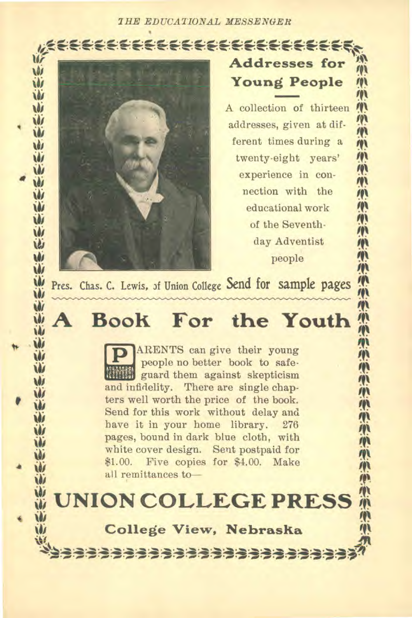*THE EDUCATIONAL MESSENGER*